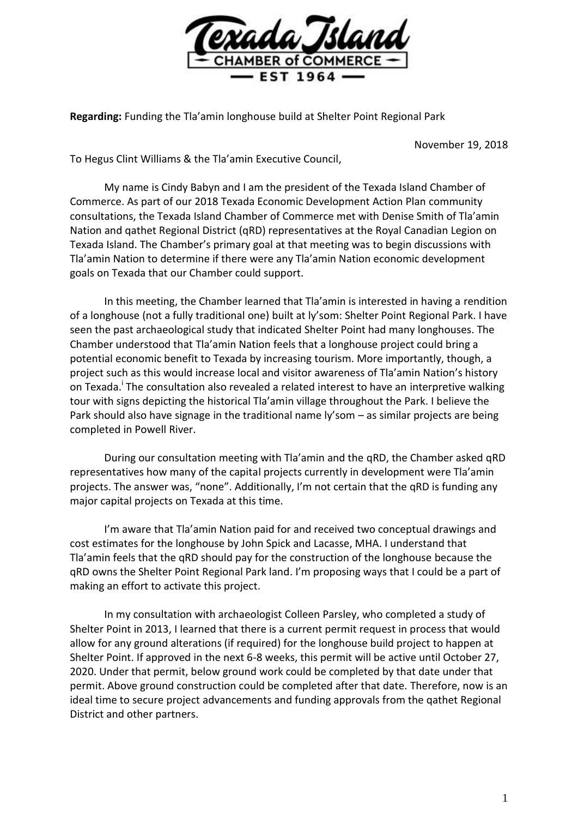

**Regarding:** Funding the Tla'amin longhouse build at Shelter Point Regional Park

November 19, 2018

To Hegus Clint Williams & the Tla'amin Executive Council,

My name is Cindy Babyn and I am the president of the Texada Island Chamber of Commerce. As part of our 2018 Texada Economic Development Action Plan community consultations, the Texada Island Chamber of Commerce met with Denise Smith of Tla'amin Nation and qathet Regional District (qRD) representatives at the Royal Canadian Legion on Texada Island. The Chamber's primary goal at that meeting was to begin discussions with Tla'amin Nation to determine if there were any Tla'amin Nation economic development goals on Texada that our Chamber could support.

In this meeting, the Chamber learned that Tla'amin is interested in having a rendition of a longhouse (not a fully traditional one) built at ly'som: Shelter Point Regional Park. I have seen the past archaeological study that indicated Shelter Point had many longhouses. The Chamber understood that Tla'amin Nation feels that a longhouse project could bring a potential economic benefit to Texada by increasing tourism. More importantly, though, a project such as this would increase local and visitor awareness of Tla'amin Nation's history on Texada.<sup>i</sup> The consultation also revealed a related interest to have an interpretive walking tour with signs depicting the historical Tla'amin village throughout the Park. I believe the Park should also have signage in the traditional name ly'som – as similar projects are being completed in Powell River.

During our consultation meeting with Tla'amin and the qRD, the Chamber asked qRD representatives how many of the capital projects currently in development were Tla'amin projects. The answer was, "none". Additionally, I'm not certain that the qRD is funding any major capital projects on Texada at this time.

I'm aware that Tla'amin Nation paid for and received two conceptual drawings and cost estimates for the longhouse by John Spick and Lacasse, MHA. I understand that Tla'amin feels that the qRD should pay for the construction of the longhouse because the qRD owns the Shelter Point Regional Park land. I'm proposing ways that I could be a part of making an effort to activate this project.

In my consultation with archaeologist Colleen Parsley, who completed a study of Shelter Point in 2013, I learned that there is a current permit request in process that would allow for any ground alterations (if required) for the longhouse build project to happen at Shelter Point. If approved in the next 6-8 weeks, this permit will be active until October 27, 2020. Under that permit, below ground work could be completed by that date under that permit. Above ground construction could be completed after that date. Therefore, now is an ideal time to secure project advancements and funding approvals from the qathet Regional District and other partners.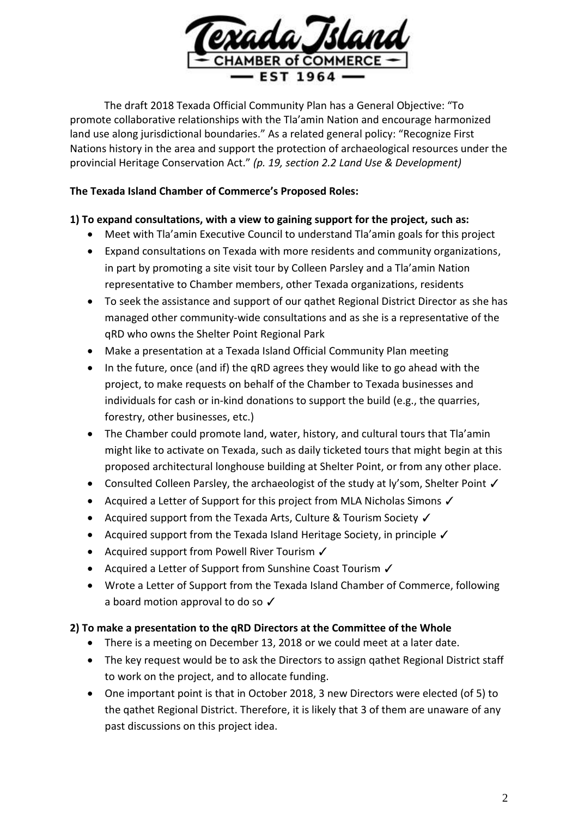

The draft 2018 Texada Official Community Plan has a General Objective: "To promote collaborative relationships with the Tla'amin Nation and encourage harmonized land use along jurisdictional boundaries." As a related general policy: "Recognize First Nations history in the area and support the protection of archaeological resources under the provincial Heritage Conservation Act." *(p. 19, section 2.2 Land Use & Development)*

#### **The Texada Island Chamber of Commerce's Proposed Roles:**

### **1) To expand consultations, with a view to gaining support for the project, such as:**

- Meet with Tla'amin Executive Council to understand Tla'amin goals for this project
- Expand consultations on Texada with more residents and community organizations, in part by promoting a site visit tour by Colleen Parsley and a Tla'amin Nation representative to Chamber members, other Texada organizations, residents
- To seek the assistance and support of our qathet Regional District Director as she has managed other community-wide consultations and as she is a representative of the qRD who owns the Shelter Point Regional Park
- Make a presentation at a Texada Island Official Community Plan meeting
- In the future, once (and if) the gRD agrees they would like to go ahead with the project, to make requests on behalf of the Chamber to Texada businesses and individuals for cash or in-kind donations to support the build (e.g., the quarries, forestry, other businesses, etc.)
- The Chamber could promote land, water, history, and cultural tours that Tla'amin might like to activate on Texada, such as daily ticketed tours that might begin at this proposed architectural longhouse building at Shelter Point, or from any other place.
- Consulted Colleen Parsley, the archaeologist of the study at ly'som, Shelter Point ✓
- Acquired a Letter of Support for this project from MLA Nicholas Simons  $\checkmark$
- Acquired support from the Texada Arts, Culture & Tourism Society  $\checkmark$
- Acquired support from the Texada Island Heritage Society, in principle  $\checkmark$
- Acquired support from Powell River Tourism ✓
- Acquired a Letter of Support from Sunshine Coast Tourism  $\checkmark$
- Wrote a Letter of Support from the Texada Island Chamber of Commerce, following a board motion approval to do so ✓

# **2) To make a presentation to the qRD Directors at the Committee of the Whole**

- There is a meeting on December 13, 2018 or we could meet at a later date.
- The key request would be to ask the Directors to assign qathet Regional District staff to work on the project, and to allocate funding.
- One important point is that in October 2018, 3 new Directors were elected (of 5) to the qathet Regional District. Therefore, it is likely that 3 of them are unaware of any past discussions on this project idea.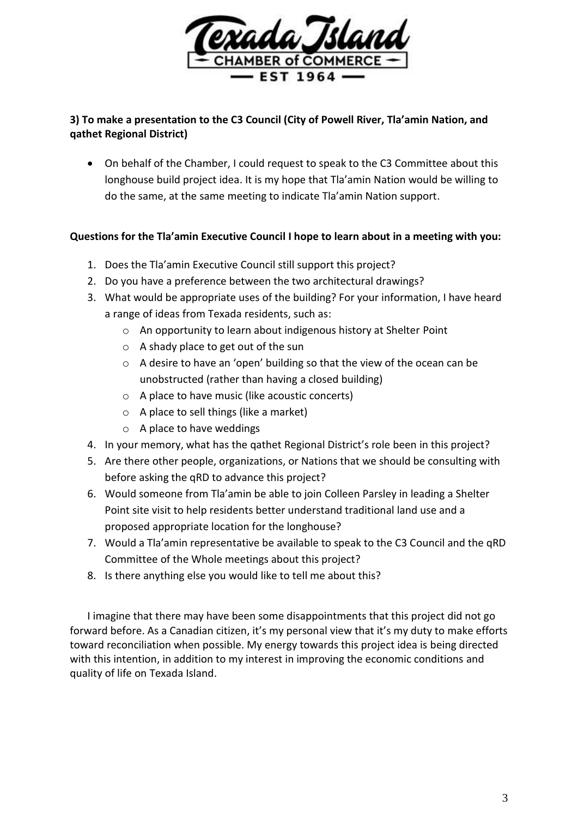

## **3) To make a presentation to the C3 Council (City of Powell River, Tla'amin Nation, and qathet Regional District)**

 On behalf of the Chamber, I could request to speak to the C3 Committee about this longhouse build project idea. It is my hope that Tla'amin Nation would be willing to do the same, at the same meeting to indicate Tla'amin Nation support.

### **Questions for the Tla'amin Executive Council I hope to learn about in a meeting with you:**

- 1. Does the Tla'amin Executive Council still support this project?
- 2. Do you have a preference between the two architectural drawings?
- 3. What would be appropriate uses of the building? For your information, I have heard a range of ideas from Texada residents, such as:
	- o An opportunity to learn about indigenous history at Shelter Point
	- o A shady place to get out of the sun
	- o A desire to have an 'open' building so that the view of the ocean can be unobstructed (rather than having a closed building)
	- o A place to have music (like acoustic concerts)
	- o A place to sell things (like a market)
	- o A place to have weddings
- 4. In your memory, what has the qathet Regional District's role been in this project?
- 5. Are there other people, organizations, or Nations that we should be consulting with before asking the qRD to advance this project?
- 6. Would someone from Tla'amin be able to join Colleen Parsley in leading a Shelter Point site visit to help residents better understand traditional land use and a proposed appropriate location for the longhouse?
- 7. Would a Tla'amin representative be available to speak to the C3 Council and the qRD Committee of the Whole meetings about this project?
- 8. Is there anything else you would like to tell me about this?

I imagine that there may have been some disappointments that this project did not go forward before. As a Canadian citizen, it's my personal view that it's my duty to make efforts toward reconciliation when possible. My energy towards this project idea is being directed with this intention, in addition to my interest in improving the economic conditions and quality of life on Texada Island.